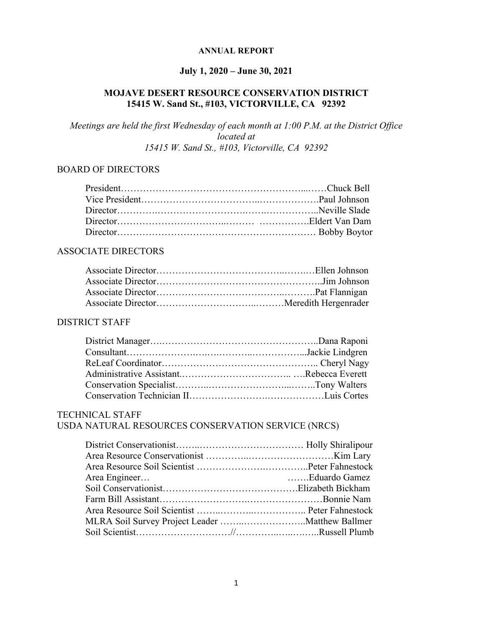#### **ANNUAL REPORT**

# **July 1, 2020 – June 30, 2021**

### **MOJAVE DESERT RESOURCE CONSERVATION DISTRICT 15415 W. Sand St., #103, VICTORVILLE, CA 92392**

*Meetings are held the first Wednesday of each month at 1:00 P.M. at the District Office located at 15415 W. Sand St., #103, Victorville, CA 92392*

#### BOARD OF DIRECTORS

#### ASSOCIATE DIRECTORS

#### DISTRICT STAFF

# TECHNICAL STAFF

# USDA NATURAL RESOURCES CONSERVATION SERVICE (NRCS)

| Area Engineer<br>Eduardo Gamez |  |
|--------------------------------|--|
|                                |  |
|                                |  |
|                                |  |
|                                |  |
|                                |  |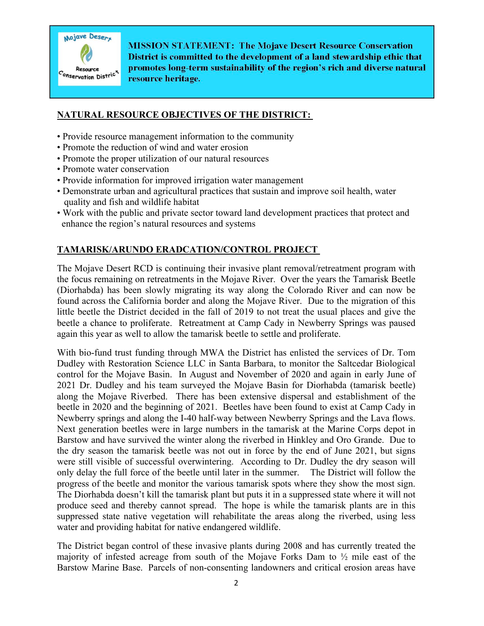

**MISSION STATEMENT: The Mojave Desert Resource Conservation** District is committed to the development of a land stewardship ethic that promotes long-term sustainability of the region's rich and diverse natural resource heritage.

#### **NATURAL RESOURCE OBJECTIVES OF THE DISTRICT:**

- Provide resource management information to the community
- Promote the reduction of wind and water erosion
- Promote the proper utilization of our natural resources
- Promote water conservation
- Provide information for improved irrigation water management
- Demonstrate urban and agricultural practices that sustain and improve soil health, water quality and fish and wildlife habitat
- Work with the public and private sector toward land development practices that protect and enhance the region's natural resources and systems

# **TAMARISK/ARUNDO ERADCATION/CONTROL PROJECT**

The Mojave Desert RCD is continuing their invasive plant removal/retreatment program with the focus remaining on retreatments in the Mojave River. Over the years the Tamarisk Beetle (Diorhabda) has been slowly migrating its way along the Colorado River and can now be found across the California border and along the Mojave River. Due to the migration of this little beetle the District decided in the fall of 2019 to not treat the usual places and give the beetle a chance to proliferate. Retreatment at Camp Cady in Newberry Springs was paused again this year as well to allow the tamarisk beetle to settle and proliferate.

With bio-fund trust funding through MWA the District has enlisted the services of Dr. Tom Dudley with Restoration Science LLC in Santa Barbara, to monitor the Saltcedar Biological control for the Mojave Basin. In August and November of 2020 and again in early June of 2021 Dr. Dudley and his team surveyed the Mojave Basin for Diorhabda (tamarisk beetle) along the Mojave Riverbed. There has been extensive dispersal and establishment of the beetle in 2020 and the beginning of 2021. Beetles have been found to exist at Camp Cady in Newberry springs and along the I-40 half-way between Newberry Springs and the Lava flows. Next generation beetles were in large numbers in the tamarisk at the Marine Corps depot in Barstow and have survived the winter along the riverbed in Hinkley and Oro Grande. Due to the dry season the tamarisk beetle was not out in force by the end of June 2021, but signs were still visible of successful overwintering. According to Dr. Dudley the dry season will only delay the full force of the beetle until later in the summer. The District will follow the progress of the beetle and monitor the various tamarisk spots where they show the most sign. The Diorhabda doesn't kill the tamarisk plant but puts it in a suppressed state where it will not produce seed and thereby cannot spread. The hope is while the tamarisk plants are in this suppressed state native vegetation will rehabilitate the areas along the riverbed, using less water and providing habitat for native endangered wildlife.

The District began control of these invasive plants during 2008 and has currently treated the majority of infested acreage from south of the Mojave Forks Dam to ½ mile east of the Barstow Marine Base. Parcels of non-consenting landowners and critical erosion areas have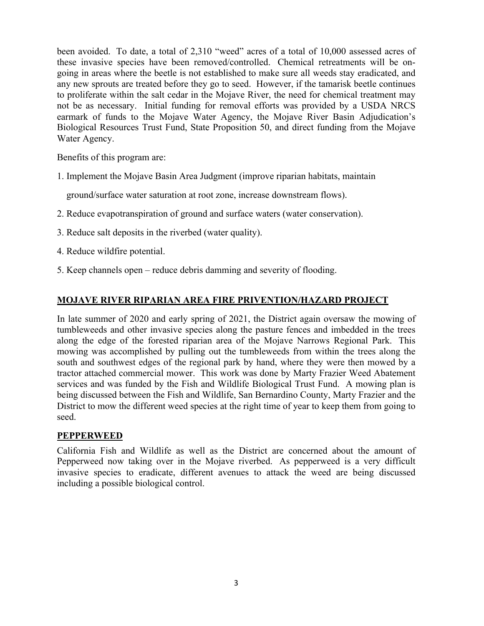been avoided. To date, a total of 2,310 "weed" acres of a total of 10,000 assessed acres of these invasive species have been removed/controlled. Chemical retreatments will be ongoing in areas where the beetle is not established to make sure all weeds stay eradicated, and any new sprouts are treated before they go to seed. However, if the tamarisk beetle continues to proliferate within the salt cedar in the Mojave River, the need for chemical treatment may not be as necessary. Initial funding for removal efforts was provided by a USDA NRCS earmark of funds to the Mojave Water Agency, the Mojave River Basin Adjudication's Biological Resources Trust Fund, State Proposition 50, and direct funding from the Mojave Water Agency.

Benefits of this program are:

1. Implement the Mojave Basin Area Judgment (improve riparian habitats, maintain

ground/surface water saturation at root zone, increase downstream flows).

- 2. Reduce evapotranspiration of ground and surface waters (water conservation).
- 3. Reduce salt deposits in the riverbed (water quality).
- 4. Reduce wildfire potential.
- 5. Keep channels open reduce debris damming and severity of flooding.

### **MOJAVE RIVER RIPARIAN AREA FIRE PRIVENTION/HAZARD PROJECT**

In late summer of 2020 and early spring of 2021, the District again oversaw the mowing of tumbleweeds and other invasive species along the pasture fences and imbedded in the trees along the edge of the forested riparian area of the Mojave Narrows Regional Park. This mowing was accomplished by pulling out the tumbleweeds from within the trees along the south and southwest edges of the regional park by hand, where they were then mowed by a tractor attached commercial mower. This work was done by Marty Frazier Weed Abatement services and was funded by the Fish and Wildlife Biological Trust Fund. A mowing plan is being discussed between the Fish and Wildlife, San Bernardino County, Marty Frazier and the District to mow the different weed species at the right time of year to keep them from going to seed.

#### **PEPPERWEED**

California Fish and Wildlife as well as the District are concerned about the amount of Pepperweed now taking over in the Mojave riverbed. As pepperweed is a very difficult invasive species to eradicate, different avenues to attack the weed are being discussed including a possible biological control.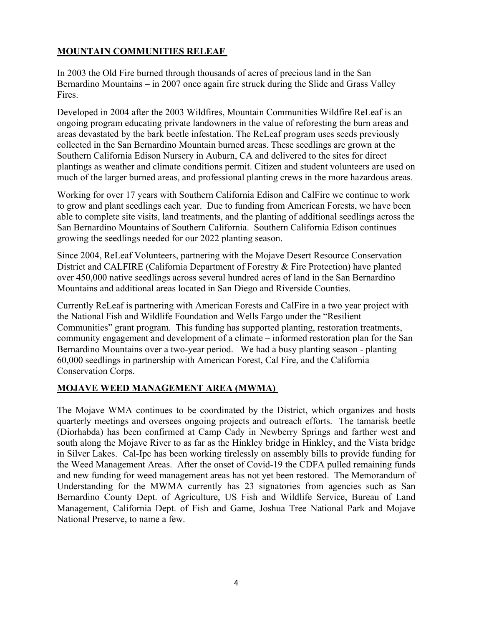# **MOUNTAIN COMMUNITIES RELEAF**

In 2003 the Old Fire burned through thousands of acres of precious land in the San Bernardino Mountains – in 2007 once again fire struck during the Slide and Grass Valley Fires.

Developed in 2004 after the 2003 Wildfires, Mountain Communities Wildfire ReLeaf is an ongoing program educating private landowners in the value of reforesting the burn areas and areas devastated by the bark beetle infestation. The ReLeaf program uses seeds previously collected in the San Bernardino Mountain burned areas. These seedlings are grown at the Southern California Edison Nursery in Auburn, CA and delivered to the sites for direct plantings as weather and climate conditions permit. Citizen and student volunteers are used on much of the larger burned areas, and professional planting crews in the more hazardous areas.

Working for over 17 years with Southern California Edison and CalFire we continue to work to grow and plant seedlings each year. Due to funding from American Forests, we have been able to complete site visits, land treatments, and the planting of additional seedlings across the San Bernardino Mountains of Southern California. Southern California Edison continues growing the seedlings needed for our 2022 planting season.

Since 2004, ReLeaf Volunteers, partnering with the Mojave Desert Resource Conservation District and CALFIRE (California Department of Forestry & Fire Protection) have planted over 450,000 native seedlings across several hundred acres of land in the San Bernardino Mountains and additional areas located in San Diego and Riverside Counties.

Currently ReLeaf is partnering with American Forests and CalFire in a two year project with the National Fish and Wildlife Foundation and Wells Fargo under the "Resilient Communities" grant program. This funding has supported planting, restoration treatments, community engagement and development of a climate – informed restoration plan for the San Bernardino Mountains over a two-year period. We had a busy planting season - planting 60,000 seedlings in partnership with American Forest, Cal Fire, and the California Conservation Corps.

# **MOJAVE WEED MANAGEMENT AREA (MWMA)**

The Mojave WMA continues to be coordinated by the District, which organizes and hosts quarterly meetings and oversees ongoing projects and outreach efforts. The tamarisk beetle (Diorhabda) has been confirmed at Camp Cady in Newberry Springs and farther west and south along the Mojave River to as far as the Hinkley bridge in Hinkley, and the Vista bridge in Silver Lakes. Cal-Ipc has been working tirelessly on assembly bills to provide funding for the Weed Management Areas. After the onset of Covid-19 the CDFA pulled remaining funds and new funding for weed management areas has not yet been restored. The Memorandum of Understanding for the MWMA currently has 23 signatories from agencies such as San Bernardino County Dept. of Agriculture, US Fish and Wildlife Service, Bureau of Land Management, California Dept. of Fish and Game, Joshua Tree National Park and Mojave National Preserve, to name a few.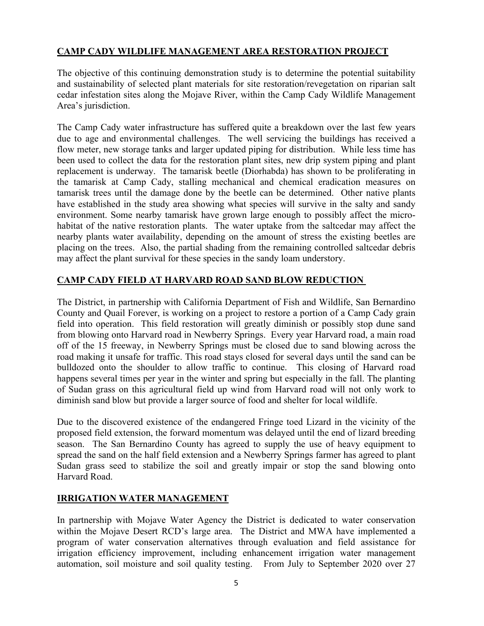# **CAMP CADY WILDLIFE MANAGEMENT AREA RESTORATION PROJECT**

The objective of this continuing demonstration study is to determine the potential suitability and sustainability of selected plant materials for site restoration/revegetation on riparian salt cedar infestation sites along the Mojave River, within the Camp Cady Wildlife Management Area's jurisdiction.

The Camp Cady water infrastructure has suffered quite a breakdown over the last few years due to age and environmental challenges. The well servicing the buildings has received a flow meter, new storage tanks and larger updated piping for distribution. While less time has been used to collect the data for the restoration plant sites, new drip system piping and plant replacement is underway. The tamarisk beetle (Diorhabda) has shown to be proliferating in the tamarisk at Camp Cady, stalling mechanical and chemical eradication measures on tamarisk trees until the damage done by the beetle can be determined. Other native plants have established in the study area showing what species will survive in the salty and sandy environment. Some nearby tamarisk have grown large enough to possibly affect the microhabitat of the native restoration plants. The water uptake from the saltcedar may affect the nearby plants water availability, depending on the amount of stress the existing beetles are placing on the trees. Also, the partial shading from the remaining controlled saltcedar debris may affect the plant survival for these species in the sandy loam understory.

# **CAMP CADY FIELD AT HARVARD ROAD SAND BLOW REDUCTION**

The District, in partnership with California Department of Fish and Wildlife, San Bernardino County and Quail Forever, is working on a project to restore a portion of a Camp Cady grain field into operation. This field restoration will greatly diminish or possibly stop dune sand from blowing onto Harvard road in Newberry Springs. Every year Harvard road, a main road off of the 15 freeway, in Newberry Springs must be closed due to sand blowing across the road making it unsafe for traffic. This road stays closed for several days until the sand can be bulldozed onto the shoulder to allow traffic to continue. This closing of Harvard road happens several times per year in the winter and spring but especially in the fall. The planting of Sudan grass on this agricultural field up wind from Harvard road will not only work to diminish sand blow but provide a larger source of food and shelter for local wildlife.

Due to the discovered existence of the endangered Fringe toed Lizard in the vicinity of the proposed field extension, the forward momentum was delayed until the end of lizard breeding season. The San Bernardino County has agreed to supply the use of heavy equipment to spread the sand on the half field extension and a Newberry Springs farmer has agreed to plant Sudan grass seed to stabilize the soil and greatly impair or stop the sand blowing onto Harvard Road.

### **IRRIGATION WATER MANAGEMENT**

In partnership with Mojave Water Agency the District is dedicated to water conservation within the Mojave Desert RCD's large area. The District and MWA have implemented a program of water conservation alternatives through evaluation and field assistance for irrigation efficiency improvement, including enhancement irrigation water management automation, soil moisture and soil quality testing. From July to September 2020 over 27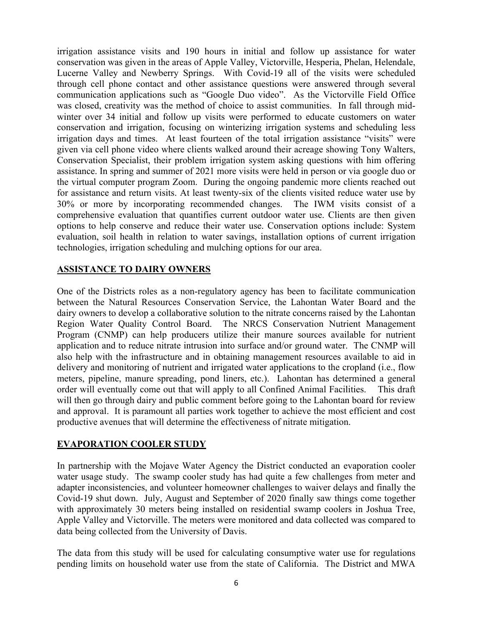irrigation assistance visits and 190 hours in initial and follow up assistance for water conservation was given in the areas of Apple Valley, Victorville, Hesperia, Phelan, Helendale, Lucerne Valley and Newberry Springs. With Covid-19 all of the visits were scheduled through cell phone contact and other assistance questions were answered through several communication applications such as "Google Duo video". As the Victorville Field Office was closed, creativity was the method of choice to assist communities. In fall through midwinter over 34 initial and follow up visits were performed to educate customers on water conservation and irrigation, focusing on winterizing irrigation systems and scheduling less irrigation days and times. At least fourteen of the total irrigation assistance "visits" were given via cell phone video where clients walked around their acreage showing Tony Walters, Conservation Specialist, their problem irrigation system asking questions with him offering assistance. In spring and summer of 2021 more visits were held in person or via google duo or the virtual computer program Zoom. During the ongoing pandemic more clients reached out for assistance and return visits. At least twenty-six of the clients visited reduce water use by 30% or more by incorporating recommended changes. The IWM visits consist of a comprehensive evaluation that quantifies current outdoor water use. Clients are then given options to help conserve and reduce their water use. Conservation options include: System evaluation, soil health in relation to water savings, installation options of current irrigation technologies, irrigation scheduling and mulching options for our area.

#### **ASSISTANCE TO DAIRY OWNERS**

One of the Districts roles as a non-regulatory agency has been to facilitate communication between the Natural Resources Conservation Service, the Lahontan Water Board and the dairy owners to develop a collaborative solution to the nitrate concerns raised by the Lahontan Region Water Quality Control Board. The NRCS Conservation Nutrient Management Program (CNMP) can help producers utilize their manure sources available for nutrient application and to reduce nitrate intrusion into surface and/or ground water. The CNMP will also help with the infrastructure and in obtaining management resources available to aid in delivery and monitoring of nutrient and irrigated water applications to the cropland (i.e., flow meters, pipeline, manure spreading, pond liners, etc.). Lahontan has determined a general order will eventually come out that will apply to all Confined Animal Facilities. This draft will then go through dairy and public comment before going to the Lahontan board for review and approval. It is paramount all parties work together to achieve the most efficient and cost productive avenues that will determine the effectiveness of nitrate mitigation.

#### **EVAPORATION COOLER STUDY**

In partnership with the Mojave Water Agency the District conducted an evaporation cooler water usage study. The swamp cooler study has had quite a few challenges from meter and adapter inconsistencies, and volunteer homeowner challenges to waiver delays and finally the Covid-19 shut down. July, August and September of 2020 finally saw things come together with approximately 30 meters being installed on residential swamp coolers in Joshua Tree, Apple Valley and Victorville. The meters were monitored and data collected was compared to data being collected from the University of Davis.

The data from this study will be used for calculating consumptive water use for regulations pending limits on household water use from the state of California. The District and MWA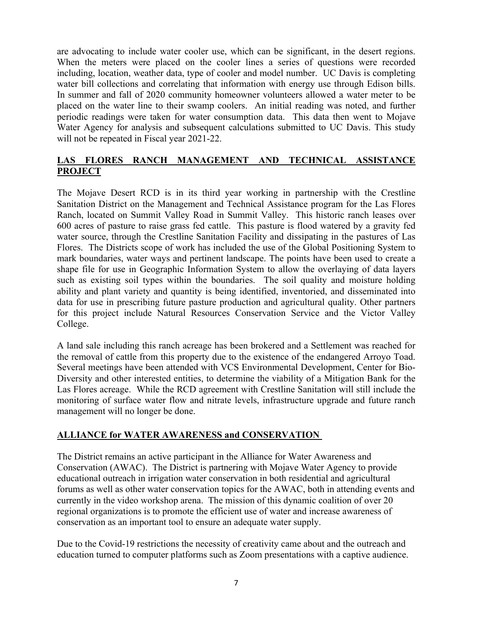are advocating to include water cooler use, which can be significant, in the desert regions. When the meters were placed on the cooler lines a series of questions were recorded including, location, weather data, type of cooler and model number. UC Davis is completing water bill collections and correlating that information with energy use through Edison bills. In summer and fall of 2020 community homeowner volunteers allowed a water meter to be placed on the water line to their swamp coolers. An initial reading was noted, and further periodic readings were taken for water consumption data. This data then went to Mojave Water Agency for analysis and subsequent calculations submitted to UC Davis. This study will not be repeated in Fiscal year 2021-22.

# **LAS FLORES RANCH MANAGEMENT AND TECHNICAL ASSISTANCE PROJECT**

The Mojave Desert RCD is in its third year working in partnership with the Crestline Sanitation District on the Management and Technical Assistance program for the Las Flores Ranch, located on Summit Valley Road in Summit Valley. This historic ranch leases over 600 acres of pasture to raise grass fed cattle. This pasture is flood watered by a gravity fed water source, through the Crestline Sanitation Facility and dissipating in the pastures of Las Flores. The Districts scope of work has included the use of the Global Positioning System to mark boundaries, water ways and pertinent landscape. The points have been used to create a shape file for use in Geographic Information System to allow the overlaying of data layers such as existing soil types within the boundaries. The soil quality and moisture holding ability and plant variety and quantity is being identified, inventoried, and disseminated into data for use in prescribing future pasture production and agricultural quality. Other partners for this project include Natural Resources Conservation Service and the Victor Valley College.

A land sale including this ranch acreage has been brokered and a Settlement was reached for the removal of cattle from this property due to the existence of the endangered Arroyo Toad. Several meetings have been attended with VCS Environmental Development, Center for Bio-Diversity and other interested entities, to determine the viability of a Mitigation Bank for the Las Flores acreage. While the RCD agreement with Crestline Sanitation will still include the monitoring of surface water flow and nitrate levels, infrastructure upgrade and future ranch management will no longer be done.

### **ALLIANCE for WATER AWARENESS and CONSERVATION**

The District remains an active participant in the Alliance for Water Awareness and Conservation (AWAC). The District is partnering with Mojave Water Agency to provide educational outreach in irrigation water conservation in both residential and agricultural forums as well as other water conservation topics for the AWAC, both in attending events and currently in the video workshop arena. The mission of this dynamic coalition of over 20 regional organizations is to promote the efficient use of water and increase awareness of conservation as an important tool to ensure an adequate water supply.

Due to the Covid-19 restrictions the necessity of creativity came about and the outreach and education turned to computer platforms such as Zoom presentations with a captive audience.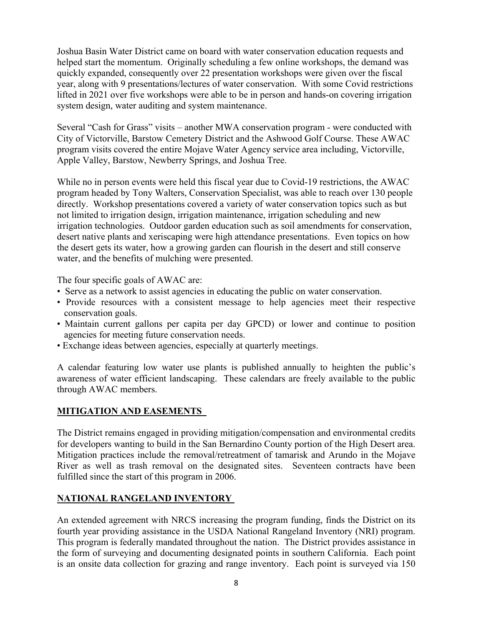Joshua Basin Water District came on board with water conservation education requests and helped start the momentum. Originally scheduling a few online workshops, the demand was quickly expanded, consequently over 22 presentation workshops were given over the fiscal year, along with 9 presentations/lectures of water conservation. With some Covid restrictions lifted in 2021 over five workshops were able to be in person and hands-on covering irrigation system design, water auditing and system maintenance.

Several "Cash for Grass" visits – another MWA conservation program - were conducted with City of Victorville, Barstow Cemetery District and the Ashwood Golf Course. These AWAC program visits covered the entire Mojave Water Agency service area including, Victorville, Apple Valley, Barstow, Newberry Springs, and Joshua Tree.

While no in person events were held this fiscal year due to Covid-19 restrictions, the AWAC program headed by Tony Walters, Conservation Specialist, was able to reach over 130 people directly. Workshop presentations covered a variety of water conservation topics such as but not limited to irrigation design, irrigation maintenance, irrigation scheduling and new irrigation technologies. Outdoor garden education such as soil amendments for conservation, desert native plants and xeriscaping were high attendance presentations. Even topics on how the desert gets its water, how a growing garden can flourish in the desert and still conserve water, and the benefits of mulching were presented.

The four specific goals of AWAC are:

- Serve as a network to assist agencies in educating the public on water conservation.
- Provide resources with a consistent message to help agencies meet their respective conservation goals.
- Maintain current gallons per capita per day GPCD) or lower and continue to position agencies for meeting future conservation needs.
- Exchange ideas between agencies, especially at quarterly meetings.

A calendar featuring low water use plants is published annually to heighten the public's awareness of water efficient landscaping. These calendars are freely available to the public through AWAC members.

# **MITIGATION AND EASEMENTS**

The District remains engaged in providing mitigation/compensation and environmental credits for developers wanting to build in the San Bernardino County portion of the High Desert area. Mitigation practices include the removal/retreatment of tamarisk and Arundo in the Mojave River as well as trash removal on the designated sites. Seventeen contracts have been fulfilled since the start of this program in 2006.

### **NATIONAL RANGELAND INVENTORY**

An extended agreement with NRCS increasing the program funding, finds the District on its fourth year providing assistance in the USDA National Rangeland Inventory (NRI) program. This program is federally mandated throughout the nation. The District provides assistance in the form of surveying and documenting designated points in southern California. Each point is an onsite data collection for grazing and range inventory. Each point is surveyed via 150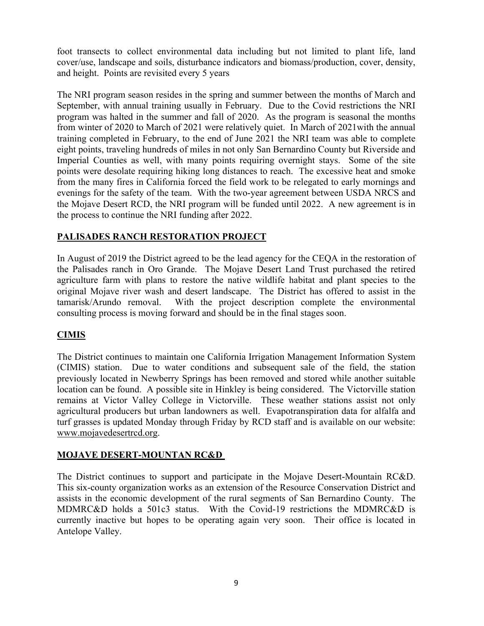foot transects to collect environmental data including but not limited to plant life, land cover/use, landscape and soils, disturbance indicators and biomass/production, cover, density, and height. Points are revisited every 5 years

The NRI program season resides in the spring and summer between the months of March and September, with annual training usually in February. Due to the Covid restrictions the NRI program was halted in the summer and fall of 2020. As the program is seasonal the months from winter of 2020 to March of 2021 were relatively quiet. In March of 2021with the annual training completed in February, to the end of June 2021 the NRI team was able to complete eight points, traveling hundreds of miles in not only San Bernardino County but Riverside and Imperial Counties as well, with many points requiring overnight stays. Some of the site points were desolate requiring hiking long distances to reach. The excessive heat and smoke from the many fires in California forced the field work to be relegated to early mornings and evenings for the safety of the team. With the two-year agreement between USDA NRCS and the Mojave Desert RCD, the NRI program will be funded until 2022. A new agreement is in the process to continue the NRI funding after 2022.

# **PALISADES RANCH RESTORATION PROJECT**

In August of 2019 the District agreed to be the lead agency for the CEQA in the restoration of the Palisades ranch in Oro Grande. The Mojave Desert Land Trust purchased the retired agriculture farm with plans to restore the native wildlife habitat and plant species to the original Mojave river wash and desert landscape. The District has offered to assist in the tamarisk/Arundo removal. With the project description complete the environmental consulting process is moving forward and should be in the final stages soon.

# **CIMIS**

The District continues to maintain one California Irrigation Management Information System (CIMIS) station. Due to water conditions and subsequent sale of the field, the station previously located in Newberry Springs has been removed and stored while another suitable location can be found. A possible site in Hinkley is being considered. The Victorville station remains at Victor Valley College in Victorville. These weather stations assist not only agricultural producers but urban landowners as well. Evapotranspiration data for alfalfa and turf grasses is updated Monday through Friday by RCD staff and is available on our website: www.mojavedesertrcd.org.

### **MOJAVE DESERT-MOUNTAN RC&D**

The District continues to support and participate in the Mojave Desert-Mountain RC&D. This six-county organization works as an extension of the Resource Conservation District and assists in the economic development of the rural segments of San Bernardino County. The MDMRC&D holds a 501c3 status. With the Covid-19 restrictions the MDMRC&D is currently inactive but hopes to be operating again very soon. Their office is located in Antelope Valley.